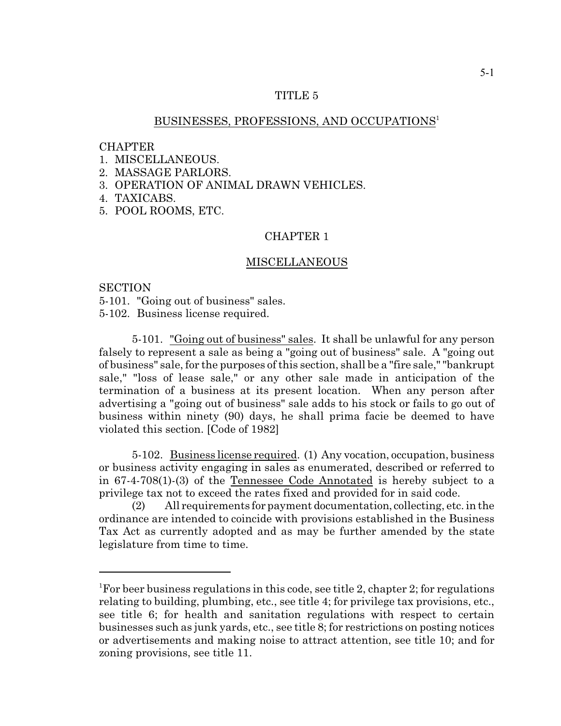## TITLE 5

# BUSINESSES, PROFESSIONS, AND OCCUPATIONS 1

### **CHAPTER**

- 1. MISCELLANEOUS.
- 2. MASSAGE PARLORS.
- 3. OPERATION OF ANIMAL DRAWN VEHICLES.
- 4. TAXICABS.
- 5. POOL ROOMS, ETC.

# CHAPTER 1

### MISCELLANEOUS

### **SECTION**

5-101. "Going out of business" sales.

5-102. Business license required.

5-101. "Going out of business" sales. It shall be unlawful for any person falsely to represent a sale as being a "going out of business" sale. A "going out of business" sale, for the purposes of this section, shall be a "fire sale," "bankrupt sale," "loss of lease sale," or any other sale made in anticipation of the termination of a business at its present location. When any person after advertising a "going out of business" sale adds to his stock or fails to go out of business within ninety (90) days, he shall prima facie be deemed to have violated this section. [Code of 1982]

5-102. Business license required. (1) Any vocation, occupation, business or business activity engaging in sales as enumerated, described or referred to in 67-4-708(1)-(3) of the Tennessee Code Annotated is hereby subject to a privilege tax not to exceed the rates fixed and provided for in said code.

(2) All requirements for payment documentation, collecting, etc. in the ordinance are intended to coincide with provisions established in the Business Tax Act as currently adopted and as may be further amended by the state legislature from time to time.

<sup>&</sup>lt;sup>1</sup>For beer business regulations in this code, see title 2, chapter 2; for regulations relating to building, plumbing, etc., see title 4; for privilege tax provisions, etc., see title 6; for health and sanitation regulations with respect to certain businesses such as junk yards, etc., see title 8; for restrictions on posting notices or advertisements and making noise to attract attention, see title 10; and for zoning provisions, see title 11.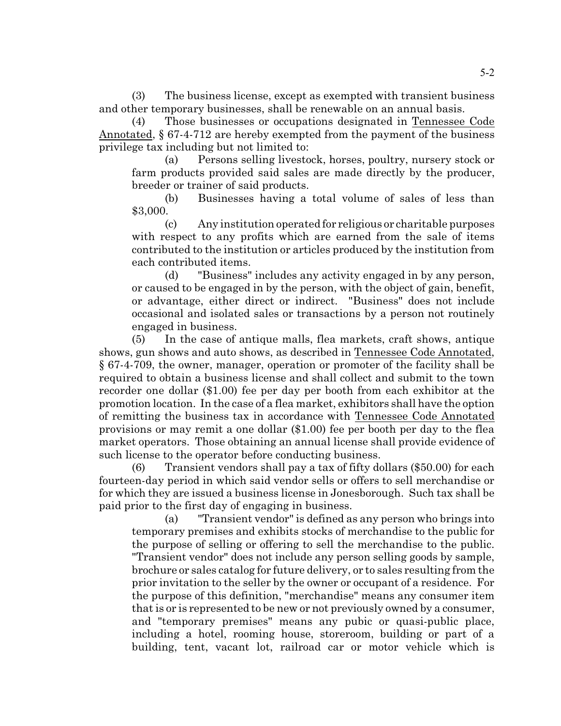(3) The business license, except as exempted with transient business and other temporary businesses, shall be renewable on an annual basis.

(4) Those businesses or occupations designated in Tennessee Code Annotated, § 67-4-712 are hereby exempted from the payment of the business privilege tax including but not limited to:

(a) Persons selling livestock, horses, poultry, nursery stock or farm products provided said sales are made directly by the producer, breeder or trainer of said products.

(b) Businesses having a total volume of sales of less than \$3,000.

(c) Any institution operated for religious or charitable purposes with respect to any profits which are earned from the sale of items contributed to the institution or articles produced by the institution from each contributed items.

(d) "Business" includes any activity engaged in by any person, or caused to be engaged in by the person, with the object of gain, benefit, or advantage, either direct or indirect. "Business" does not include occasional and isolated sales or transactions by a person not routinely engaged in business.

(5) In the case of antique malls, flea markets, craft shows, antique shows, gun shows and auto shows, as described in Tennessee Code Annotated, § 67-4-709, the owner, manager, operation or promoter of the facility shall be required to obtain a business license and shall collect and submit to the town recorder one dollar (\$1.00) fee per day per booth from each exhibitor at the promotion location. In the case of a flea market, exhibitors shall have the option of remitting the business tax in accordance with Tennessee Code Annotated provisions or may remit a one dollar (\$1.00) fee per booth per day to the flea market operators. Those obtaining an annual license shall provide evidence of such license to the operator before conducting business.

(6) Transient vendors shall pay a tax of fifty dollars (\$50.00) for each fourteen-day period in which said vendor sells or offers to sell merchandise or for which they are issued a business license in Jonesborough. Such tax shall be paid prior to the first day of engaging in business.

(a) "Transient vendor" is defined as any person who brings into temporary premises and exhibits stocks of merchandise to the public for the purpose of selling or offering to sell the merchandise to the public. "Transient vendor" does not include any person selling goods by sample, brochure or sales catalog for future delivery, or to sales resulting from the prior invitation to the seller by the owner or occupant of a residence. For the purpose of this definition, "merchandise" means any consumer item that is or is represented to be new or not previously owned by a consumer, and "temporary premises" means any pubic or quasi-public place, including a hotel, rooming house, storeroom, building or part of a building, tent, vacant lot, railroad car or motor vehicle which is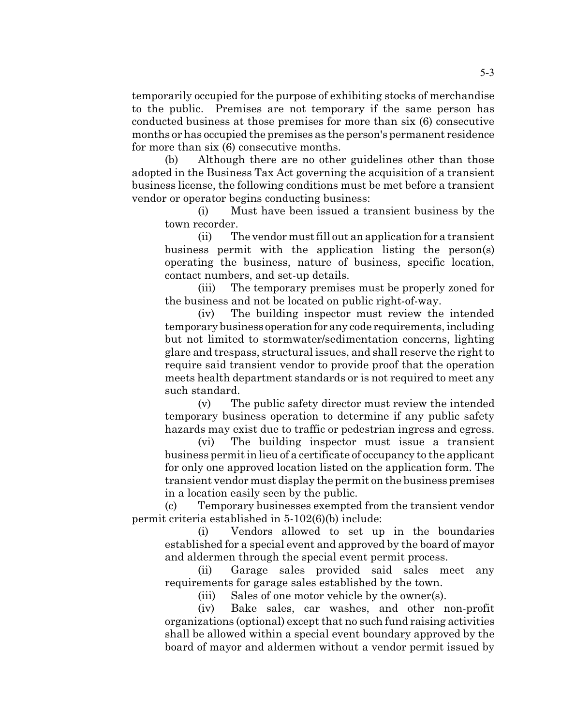temporarily occupied for the purpose of exhibiting stocks of merchandise to the public. Premises are not temporary if the same person has conducted business at those premises for more than six (6) consecutive months or has occupied the premises as the person's permanent residence for more than six (6) consecutive months.

(b) Although there are no other guidelines other than those adopted in the Business Tax Act governing the acquisition of a transient business license, the following conditions must be met before a transient vendor or operator begins conducting business:

(i) Must have been issued a transient business by the town recorder.

(ii) The vendor must fill out an application for a transient business permit with the application listing the person(s) operating the business, nature of business, specific location, contact numbers, and set-up details.

(iii) The temporary premises must be properly zoned for the business and not be located on public right-of-way.

(iv) The building inspector must review the intended temporary business operationfor any code requirements, including but not limited to stormwater/sedimentation concerns, lighting glare and trespass, structural issues, and shall reserve the right to require said transient vendor to provide proof that the operation meets health department standards or is not required to meet any such standard.

(v) The public safety director must review the intended temporary business operation to determine if any public safety hazards may exist due to traffic or pedestrian ingress and egress.

(vi) The building inspector must issue a transient business permit in lieu of a certificate of occupancy to the applicant for only one approved location listed on the application form. The transient vendor must display the permit on the business premises in a location easily seen by the public.

(c) Temporary businesses exempted from the transient vendor permit criteria established in 5-102(6)(b) include:

(i) Vendors allowed to set up in the boundaries established for a special event and approved by the board of mayor and aldermen through the special event permit process.

(ii) Garage sales provided said sales meet any requirements for garage sales established by the town.

(iii) Sales of one motor vehicle by the owner(s).

(iv) Bake sales, car washes, and other non-profit organizations (optional) except that no such fund raising activities shall be allowed within a special event boundary approved by the board of mayor and aldermen without a vendor permit issued by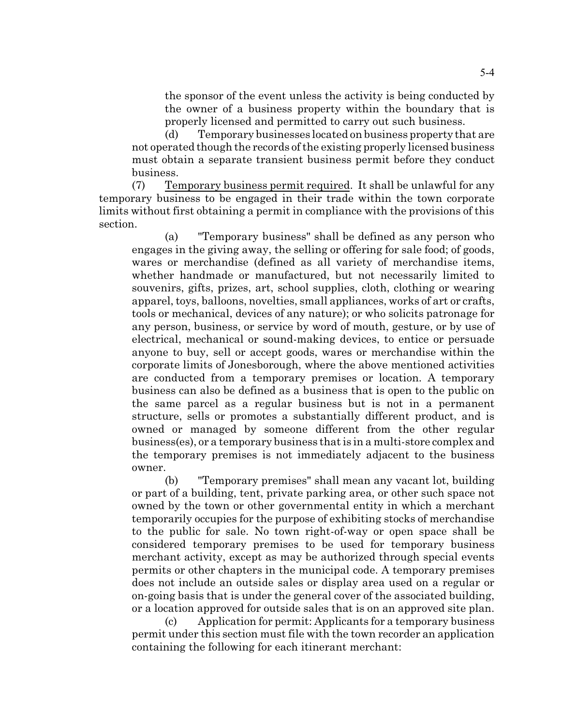the sponsor of the event unless the activity is being conducted by the owner of a business property within the boundary that is properly licensed and permitted to carry out such business.

(d) Temporary businesses located on business property that are not operated though the records of the existing properly licensed business must obtain a separate transient business permit before they conduct business.

(7) Temporary business permit required. It shall be unlawful for any temporary business to be engaged in their trade within the town corporate limits without first obtaining a permit in compliance with the provisions of this section.

(a) "Temporary business" shall be defined as any person who engages in the giving away, the selling or offering for sale food; of goods, wares or merchandise (defined as all variety of merchandise items, whether handmade or manufactured, but not necessarily limited to souvenirs, gifts, prizes, art, school supplies, cloth, clothing or wearing apparel, toys, balloons, novelties, small appliances, works of art or crafts, tools or mechanical, devices of any nature); or who solicits patronage for any person, business, or service by word of mouth, gesture, or by use of electrical, mechanical or sound-making devices, to entice or persuade anyone to buy, sell or accept goods, wares or merchandise within the corporate limits of Jonesborough, where the above mentioned activities are conducted from a temporary premises or location. A temporary business can also be defined as a business that is open to the public on the same parcel as a regular business but is not in a permanent structure, sells or promotes a substantially different product, and is owned or managed by someone different from the other regular business(es), or a temporary business that is in a multi-store complex and the temporary premises is not immediately adjacent to the business owner.

(b) "Temporary premises" shall mean any vacant lot, building or part of a building, tent, private parking area, or other such space not owned by the town or other governmental entity in which a merchant temporarily occupies for the purpose of exhibiting stocks of merchandise to the public for sale. No town right-of-way or open space shall be considered temporary premises to be used for temporary business merchant activity, except as may be authorized through special events permits or other chapters in the municipal code. A temporary premises does not include an outside sales or display area used on a regular or on-going basis that is under the general cover of the associated building, or a location approved for outside sales that is on an approved site plan.

(c) Application for permit: Applicants for a temporary business permit under this section must file with the town recorder an application containing the following for each itinerant merchant: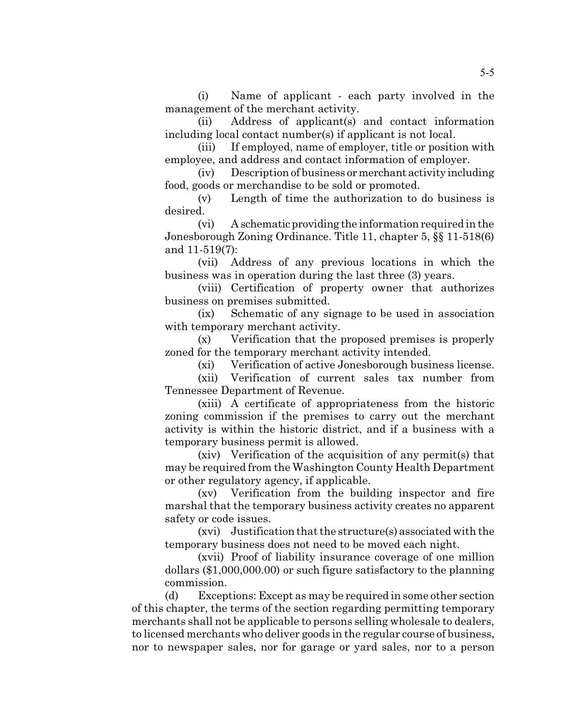(i) Name of applicant - each party involved in the management of the merchant activity.

(ii) Address of applicant(s) and contact information including local contact number(s) if applicant is not local.

(iii) If employed, name of employer, title or position with employee, and address and contact information of employer.

 $(iv)$  Description of business or merchant activity including food, goods or merchandise to be sold or promoted.

(v) Length of time the authorization to do business is desired.

(vi) A schematic providing the information required in the Jonesborough Zoning Ordinance. Title 11, chapter 5, §§ 11-518(6) and 11-519(7):

(vii) Address of any previous locations in which the business was in operation during the last three (3) years.

(viii) Certification of property owner that authorizes business on premises submitted.

(ix) Schematic of any signage to be used in association with temporary merchant activity.

(x) Verification that the proposed premises is properly zoned for the temporary merchant activity intended.

(xi) Verification of active Jonesborough business license.

(xii) Verification of current sales tax number from Tennessee Department of Revenue.

(xiii) A certificate of appropriateness from the historic zoning commission if the premises to carry out the merchant activity is within the historic district, and if a business with a temporary business permit is allowed.

(xiv) Verification of the acquisition of any permit(s) that may be required from the Washington County Health Department or other regulatory agency, if applicable.

(xv) Verification from the building inspector and fire marshal that the temporary business activity creates no apparent safety or code issues.

(xvi) Justification that the structure(s) associated with the temporary business does not need to be moved each night.

(xvii) Proof of liability insurance coverage of one million dollars (\$1,000,000.00) or such figure satisfactory to the planning commission.

(d) Exceptions: Except as may be required in some other section of this chapter, the terms of the section regarding permitting temporary merchants shall not be applicable to persons selling wholesale to dealers, to licensed merchants who deliver goods in the regular course of business, nor to newspaper sales, nor for garage or yard sales, nor to a person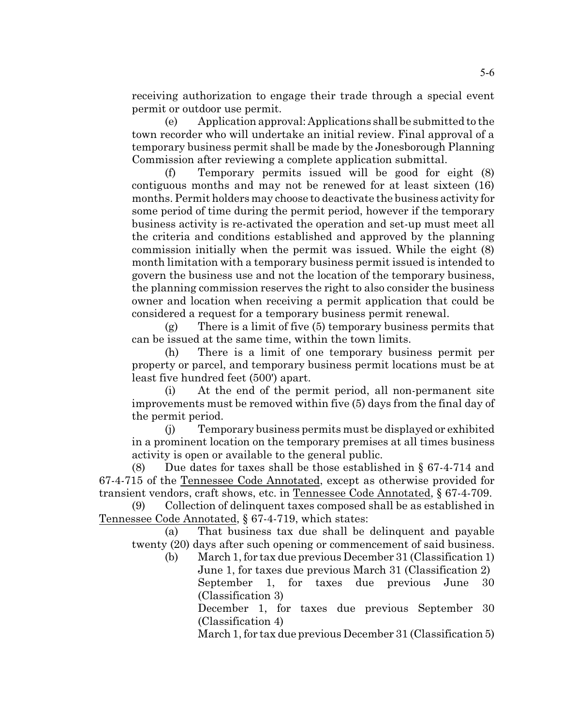receiving authorization to engage their trade through a special event permit or outdoor use permit.

(e) Application approval: Applications shall be submitted to the town recorder who will undertake an initial review. Final approval of a temporary business permit shall be made by the Jonesborough Planning Commission after reviewing a complete application submittal.

(f) Temporary permits issued will be good for eight (8) contiguous months and may not be renewed for at least sixteen (16) months. Permit holders may choose to deactivate the business activity for some period of time during the permit period, however if the temporary business activity is re-activated the operation and set-up must meet all the criteria and conditions established and approved by the planning commission initially when the permit was issued. While the eight (8) month limitation with a temporary business permit issued is intended to govern the business use and not the location of the temporary business, the planning commission reserves the right to also consider the business owner and location when receiving a permit application that could be considered a request for a temporary business permit renewal.

(g) There is a limit of five (5) temporary business permits that can be issued at the same time, within the town limits.

(h) There is a limit of one temporary business permit per property or parcel, and temporary business permit locations must be at least five hundred feet (500') apart.

(i) At the end of the permit period, all non-permanent site improvements must be removed within five (5) days from the final day of the permit period.

(j) Temporary business permits must be displayed or exhibited in a prominent location on the temporary premises at all times business activity is open or available to the general public.

(8) Due dates for taxes shall be those established in  $\S 67-4-714$  and 67-4-715 of the Tennessee Code Annotated, except as otherwise provided for transient vendors, craft shows, etc. in Tennessee Code Annotated, § 67-4-709.

(9) Collection of delinquent taxes composed shall be as established in Tennessee Code Annotated, § 67-4-719, which states:

(a) That business tax due shall be delinquent and payable twenty (20) days after such opening or commencement of said business.

(b) March 1, for tax due previous December 31 (Classification 1) June 1, for taxes due previous March 31 (Classification 2) September 1, for taxes due previous June 30 (Classification 3)

December 1, for taxes due previous September 30 (Classification 4)

March 1, for tax due previous December 31 (Classification 5)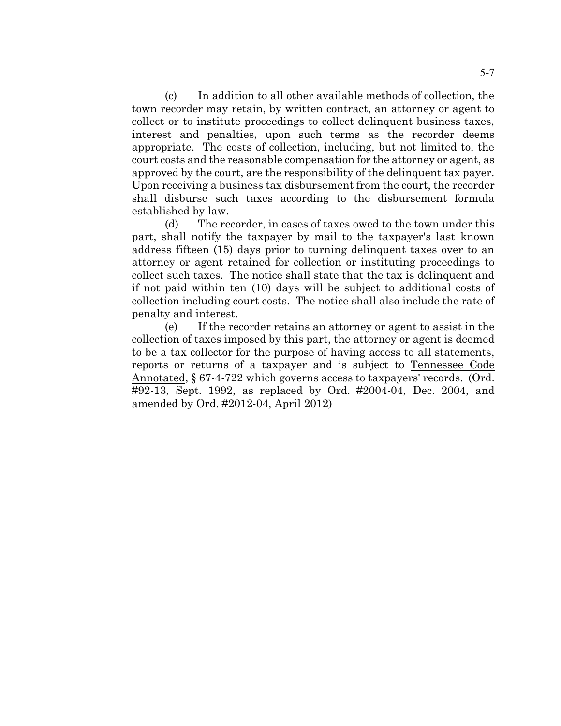(c) In addition to all other available methods of collection, the town recorder may retain, by written contract, an attorney or agent to collect or to institute proceedings to collect delinquent business taxes, interest and penalties, upon such terms as the recorder deems appropriate. The costs of collection, including, but not limited to, the court costs and the reasonable compensation for the attorney or agent, as approved by the court, are the responsibility of the delinquent tax payer. Upon receiving a business tax disbursement from the court, the recorder shall disburse such taxes according to the disbursement formula established by law.

(d) The recorder, in cases of taxes owed to the town under this part, shall notify the taxpayer by mail to the taxpayer's last known address fifteen (15) days prior to turning delinquent taxes over to an attorney or agent retained for collection or instituting proceedings to collect such taxes. The notice shall state that the tax is delinquent and if not paid within ten (10) days will be subject to additional costs of collection including court costs. The notice shall also include the rate of penalty and interest.

(e) If the recorder retains an attorney or agent to assist in the collection of taxes imposed by this part, the attorney or agent is deemed to be a tax collector for the purpose of having access to all statements, reports or returns of a taxpayer and is subject to Tennessee Code Annotated, § 67-4-722 which governs access to taxpayers' records. (Ord. #92-13, Sept. 1992, as replaced by Ord. #2004-04, Dec. 2004, and amended by Ord. #2012-04, April 2012)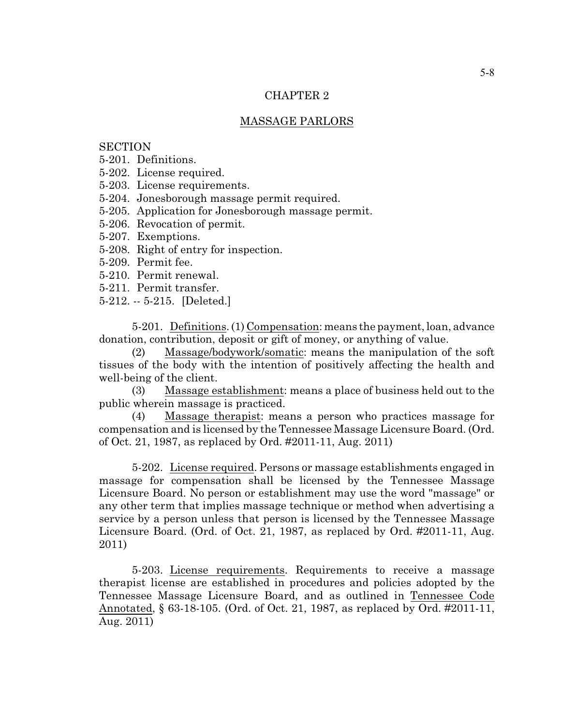# CHAPTER 2

#### MASSAGE PARLORS

# **SECTION**

5-201. Definitions.

- 5-202. License required.
- 5-203. License requirements.

5-204. Jonesborough massage permit required.

- 5-205. Application for Jonesborough massage permit.
- 5-206. Revocation of permit.
- 5-207. Exemptions.
- 5-208. Right of entry for inspection.
- 5-209. Permit fee.
- 5-210. Permit renewal.
- 5-211. Permit transfer.
- 5-212. -- 5-215. [Deleted.]

5-201. Definitions. (1) Compensation: means the payment, loan, advance donation, contribution, deposit or gift of money, or anything of value.

(2) Massage/bodywork/somatic: means the manipulation of the soft tissues of the body with the intention of positively affecting the health and well-being of the client.

(3) Massage establishment: means a place of business held out to the public wherein massage is practiced.

(4) Massage therapist: means a person who practices massage for compensation and is licensed by the Tennessee Massage Licensure Board. (Ord. of Oct. 21, 1987, as replaced by Ord. #2011-11, Aug. 2011)

5-202. License required. Persons or massage establishments engaged in massage for compensation shall be licensed by the Tennessee Massage Licensure Board. No person or establishment may use the word "massage" or any other term that implies massage technique or method when advertising a service by a person unless that person is licensed by the Tennessee Massage Licensure Board. (Ord. of Oct. 21, 1987, as replaced by Ord. #2011-11, Aug. 2011)

5-203. License requirements. Requirements to receive a massage therapist license are established in procedures and policies adopted by the Tennessee Massage Licensure Board, and as outlined in Tennessee Code Annotated, § 63-18-105. (Ord. of Oct. 21, 1987, as replaced by Ord. #2011-11, Aug. 2011)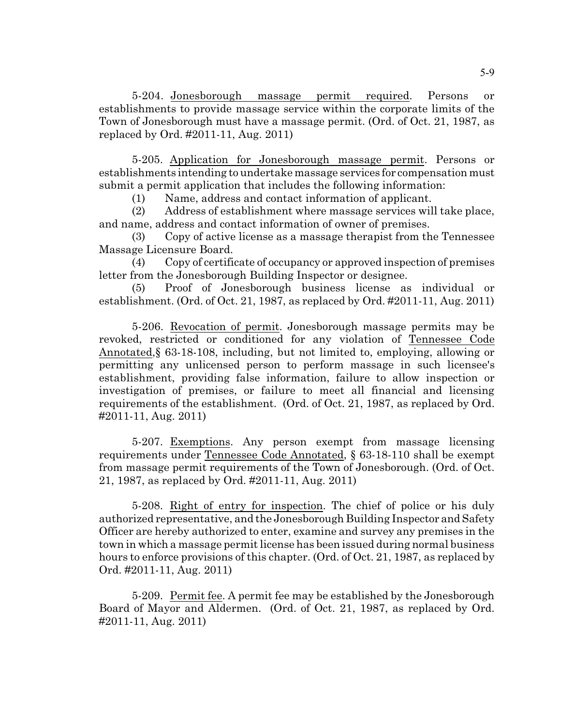5-204. Jonesborough massage permit required. Persons or establishments to provide massage service within the corporate limits of the Town of Jonesborough must have a massage permit. (Ord. of Oct. 21, 1987, as replaced by Ord. #2011-11, Aug. 2011)

5-205. Application for Jonesborough massage permit. Persons or establishments intending to undertake massage services for compensation must submit a permit application that includes the following information:

(1) Name, address and contact information of applicant.

(2) Address of establishment where massage services will take place, and name, address and contact information of owner of premises.

(3) Copy of active license as a massage therapist from the Tennessee Massage Licensure Board.

(4) Copy of certificate of occupancy or approved inspection of premises letter from the Jonesborough Building Inspector or designee.

(5) Proof of Jonesborough business license as individual or establishment. (Ord. of Oct. 21, 1987, as replaced by Ord. #2011-11, Aug. 2011)

5-206. Revocation of permit. Jonesborough massage permits may be revoked, restricted or conditioned for any violation of Tennessee Code Annotated,§ 63-18-108, including, but not limited to, employing, allowing or permitting any unlicensed person to perform massage in such licensee's establishment, providing false information, failure to allow inspection or investigation of premises, or failure to meet all financial and licensing requirements of the establishment. (Ord. of Oct. 21, 1987, as replaced by Ord. #2011-11, Aug. 2011)

5-207. Exemptions. Any person exempt from massage licensing requirements under Tennessee Code Annotated, § 63-18-110 shall be exempt from massage permit requirements of the Town of Jonesborough. (Ord. of Oct. 21, 1987, as replaced by Ord. #2011-11, Aug. 2011)

5-208. Right of entry for inspection. The chief of police or his duly authorized representative, and the Jonesborough Building Inspector and Safety Officer are hereby authorized to enter, examine and survey any premises in the town in which a massage permit license has been issued during normal business hours to enforce provisions of this chapter. (Ord. of Oct. 21, 1987, as replaced by Ord. #2011-11, Aug. 2011)

5-209. Permit fee. A permit fee may be established by the Jonesborough Board of Mayor and Aldermen. (Ord. of Oct. 21, 1987, as replaced by Ord. #2011-11, Aug. 2011)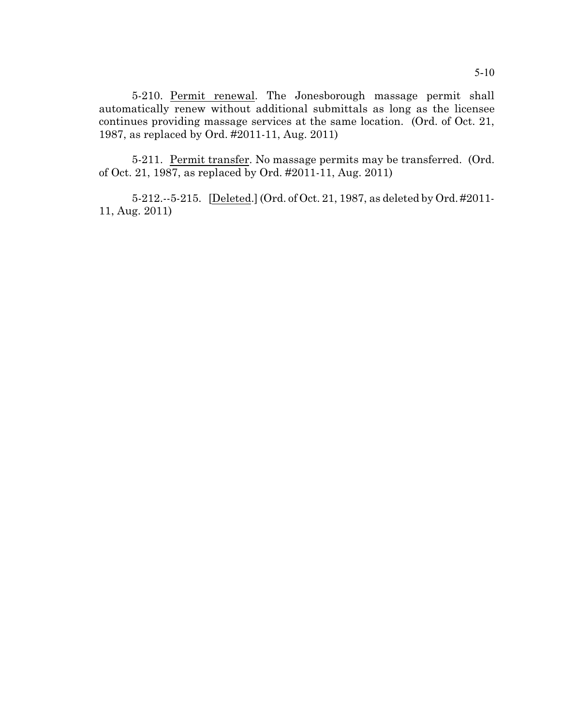5-210. Permit renewal. The Jonesborough massage permit shall automatically renew without additional submittals as long as the licensee continues providing massage services at the same location. (Ord. of Oct. 21, 1987, as replaced by Ord. #2011-11, Aug. 2011)

5-211. Permit transfer. No massage permits may be transferred. (Ord. of Oct. 21, 1987, as replaced by Ord. #2011-11, Aug. 2011)

5-212.--5-215. [Deleted.] (Ord. of Oct. 21, 1987, as deleted by Ord. #2011- 11, Aug. 2011)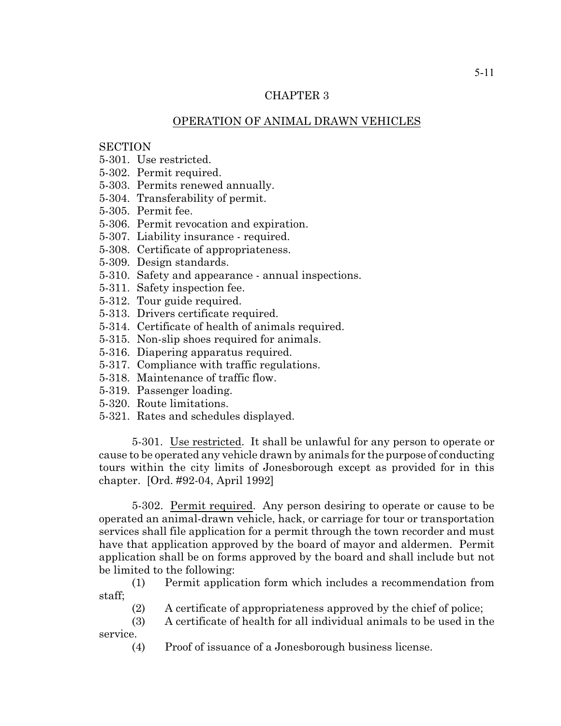# CHAPTER 3

## OPERATION OF ANIMAL DRAWN VEHICLES

## **SECTION**

- 5-301. Use restricted.
- 5-302. Permit required.
- 5-303. Permits renewed annually.
- 5-304. Transferability of permit.
- 5-305. Permit fee.
- 5-306. Permit revocation and expiration.
- 5-307. Liability insurance required.
- 5-308. Certificate of appropriateness.
- 5-309. Design standards.
- 5-310. Safety and appearance annual inspections.
- 5-311. Safety inspection fee.
- 5-312. Tour guide required.
- 5-313. Drivers certificate required.
- 5-314. Certificate of health of animals required.
- 5-315. Non-slip shoes required for animals.
- 5-316. Diapering apparatus required.
- 5-317. Compliance with traffic regulations.
- 5-318. Maintenance of traffic flow.
- 5-319. Passenger loading.
- 5-320. Route limitations.
- 5-321. Rates and schedules displayed.

5-301. Use restricted. It shall be unlawful for any person to operate or cause to be operated any vehicle drawn by animals for the purpose of conducting tours within the city limits of Jonesborough except as provided for in this chapter. [Ord. #92-04, April 1992]

5-302. Permit required. Any person desiring to operate or cause to be operated an animal-drawn vehicle, hack, or carriage for tour or transportation services shall file application for a permit through the town recorder and must have that application approved by the board of mayor and aldermen. Permit application shall be on forms approved by the board and shall include but not be limited to the following:

(1) Permit application form which includes a recommendation from staff;

(2) A certificate of appropriateness approved by the chief of police;

(3) A certificate of health for all individual animals to be used in the service.

(4) Proof of issuance of a Jonesborough business license.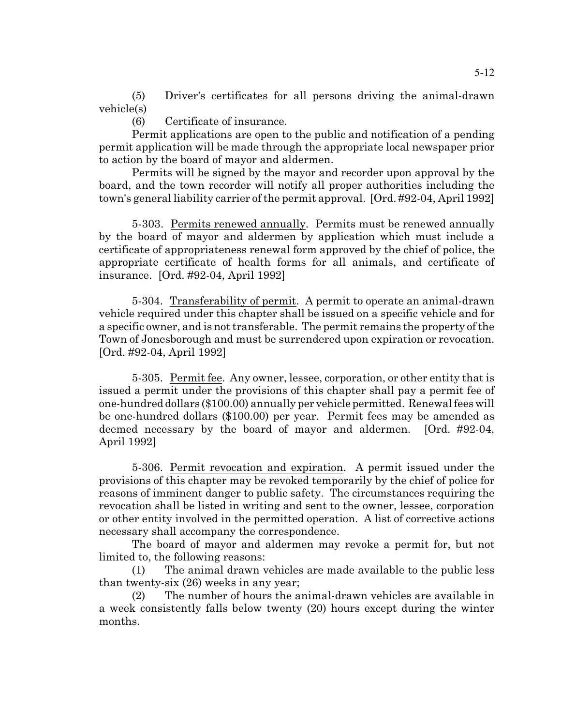(5) Driver's certificates for all persons driving the animal-drawn vehicle(s)

(6) Certificate of insurance.

Permit applications are open to the public and notification of a pending permit application will be made through the appropriate local newspaper prior to action by the board of mayor and aldermen.

Permits will be signed by the mayor and recorder upon approval by the board, and the town recorder will notify all proper authorities including the town's general liability carrier of the permit approval. [Ord. #92-04, April 1992]

5-303. Permits renewed annually. Permits must be renewed annually by the board of mayor and aldermen by application which must include a certificate of appropriateness renewal form approved by the chief of police, the appropriate certificate of health forms for all animals, and certificate of insurance. [Ord. #92-04, April 1992]

5-304. Transferability of permit. A permit to operate an animal-drawn vehicle required under this chapter shall be issued on a specific vehicle and for a specific owner, and is not transferable. The permit remains the property of the Town of Jonesborough and must be surrendered upon expiration or revocation. [Ord. #92-04, April 1992]

5-305. Permit fee. Any owner, lessee, corporation, or other entity that is issued a permit under the provisions of this chapter shall pay a permit fee of one-hundred dollars (\$100.00) annually per vehicle permitted. Renewal fees will be one-hundred dollars (\$100.00) per year. Permit fees may be amended as deemed necessary by the board of mayor and aldermen. [Ord. #92-04, April 1992]

5-306. Permit revocation and expiration. A permit issued under the provisions of this chapter may be revoked temporarily by the chief of police for reasons of imminent danger to public safety. The circumstances requiring the revocation shall be listed in writing and sent to the owner, lessee, corporation or other entity involved in the permitted operation. A list of corrective actions necessary shall accompany the correspondence.

The board of mayor and aldermen may revoke a permit for, but not limited to, the following reasons:

(1) The animal drawn vehicles are made available to the public less than twenty-six (26) weeks in any year;

(2) The number of hours the animal-drawn vehicles are available in a week consistently falls below twenty (20) hours except during the winter months.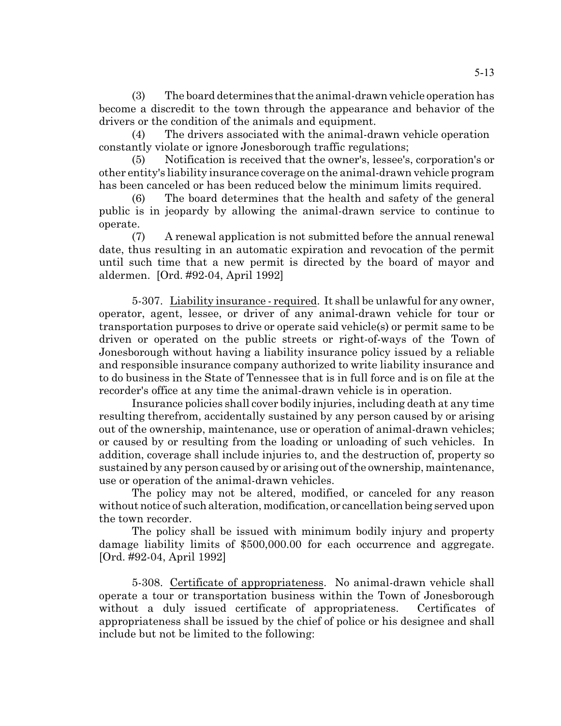$(3)$  The board determines that the animal-drawn vehicle operation has become a discredit to the town through the appearance and behavior of the drivers or the condition of the animals and equipment.

(4) The drivers associated with the animal-drawn vehicle operation constantly violate or ignore Jonesborough traffic regulations;

(5) Notification is received that the owner's, lessee's, corporation's or other entity's liability insurance coverage on the animal-drawn vehicle program has been canceled or has been reduced below the minimum limits required.

(6) The board determines that the health and safety of the general public is in jeopardy by allowing the animal-drawn service to continue to operate.

(7) A renewal application is not submitted before the annual renewal date, thus resulting in an automatic expiration and revocation of the permit until such time that a new permit is directed by the board of mayor and aldermen. [Ord. #92-04, April 1992]

5-307. Liability insurance - required. It shall be unlawful for any owner, operator, agent, lessee, or driver of any animal-drawn vehicle for tour or transportation purposes to drive or operate said vehicle(s) or permit same to be driven or operated on the public streets or right-of-ways of the Town of Jonesborough without having a liability insurance policy issued by a reliable and responsible insurance company authorized to write liability insurance and to do business in the State of Tennessee that is in full force and is on file at the recorder's office at any time the animal-drawn vehicle is in operation.

Insurance policies shall cover bodily injuries, including death at any time resulting therefrom, accidentally sustained by any person caused by or arising out of the ownership, maintenance, use or operation of animal-drawn vehicles; or caused by or resulting from the loading or unloading of such vehicles. In addition, coverage shall include injuries to, and the destruction of, property so sustained by any person caused by or arising out of the ownership, maintenance, use or operation of the animal-drawn vehicles.

The policy may not be altered, modified, or canceled for any reason without notice of such alteration, modification, or cancellation being served upon the town recorder.

The policy shall be issued with minimum bodily injury and property damage liability limits of \$500,000.00 for each occurrence and aggregate. [Ord. #92-04, April 1992]

5-308. Certificate of appropriateness. No animal-drawn vehicle shall operate a tour or transportation business within the Town of Jonesborough without a duly issued certificate of appropriateness. Certificates of appropriateness shall be issued by the chief of police or his designee and shall include but not be limited to the following: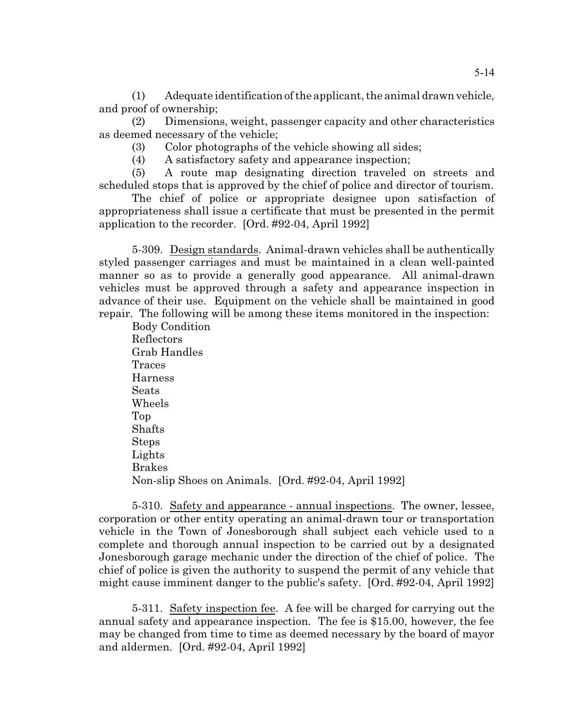(1) Adequate identification of the applicant, the animal drawn vehicle, and proof of ownership;

(2) Dimensions, weight, passenger capacity and other characteristics as deemed necessary of the vehicle;

(3) Color photographs of the vehicle showing all sides;

(4) A satisfactory safety and appearance inspection;

(5) A route map designating direction traveled on streets and scheduled stops that is approved by the chief of police and director of tourism.

The chief of police or appropriate designee upon satisfaction of appropriateness shall issue a certificate that must be presented in the permit application to the recorder. [Ord. #92-04, April 1992]

5-309. Design standards. Animal-drawn vehicles shall be authentically styled passenger carriages and must be maintained in a clean well-painted manner so as to provide a generally good appearance. All animal-drawn vehicles must be approved through a safety and appearance inspection in advance of their use. Equipment on the vehicle shall be maintained in good repair. The following will be among these items monitored in the inspection:

Body Condition Reflectors Grab Handles Traces Harness **Seats** Wheels Top Shafts Steps Lights Brakes Non-slip Shoes on Animals. [Ord. #92-04, April 1992]

5-310. Safety and appearance - annual inspections. The owner, lessee, corporation or other entity operating an animal-drawn tour or transportation vehicle in the Town of Jonesborough shall subject each vehicle used to a complete and thorough annual inspection to be carried out by a designated Jonesborough garage mechanic under the direction of the chief of police. The chief of police is given the authority to suspend the permit of any vehicle that might cause imminent danger to the public's safety. [Ord. #92-04, April 1992]

5-311. Safety inspection fee. A fee will be charged for carrying out the annual safety and appearance inspection. The fee is \$15.00, however, the fee may be changed from time to time as deemed necessary by the board of mayor and aldermen. [Ord. #92-04, April 1992]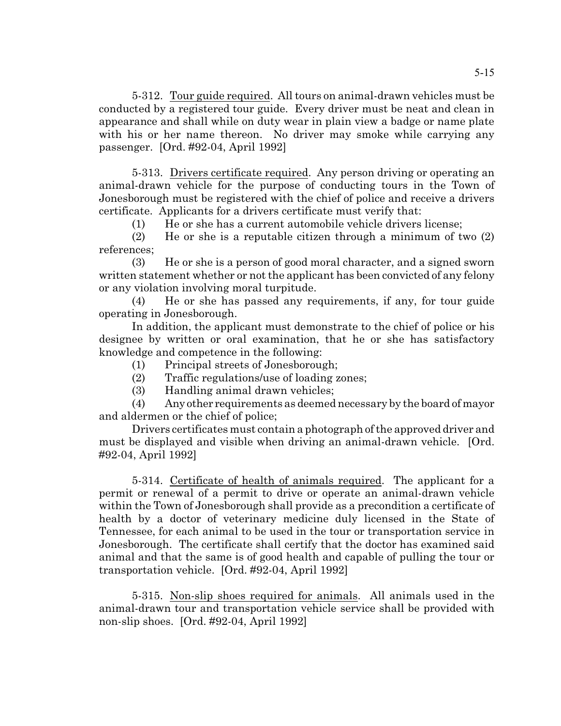5-312. Tour guide required. All tours on animal-drawn vehicles must be conducted by a registered tour guide. Every driver must be neat and clean in appearance and shall while on duty wear in plain view a badge or name plate with his or her name thereon. No driver may smoke while carrying any passenger. [Ord. #92-04, April 1992]

5-313. Drivers certificate required. Any person driving or operating an animal-drawn vehicle for the purpose of conducting tours in the Town of Jonesborough must be registered with the chief of police and receive a drivers certificate. Applicants for a drivers certificate must verify that:

(1) He or she has a current automobile vehicle drivers license;

(2) He or she is a reputable citizen through a minimum of two (2) references;

(3) He or she is a person of good moral character, and a signed sworn written statement whether or not the applicant has been convicted of any felony or any violation involving moral turpitude.

(4) He or she has passed any requirements, if any, for tour guide operating in Jonesborough.

In addition, the applicant must demonstrate to the chief of police or his designee by written or oral examination, that he or she has satisfactory knowledge and competence in the following:

- (1) Principal streets of Jonesborough;
- (2) Traffic regulations/use of loading zones;
- (3) Handling animal drawn vehicles;

 $(4)$  Any other requirements as deemed necessary by the board of mayor and aldermen or the chief of police;

Drivers certificates must contain a photograph of the approved driver and must be displayed and visible when driving an animal-drawn vehicle. [Ord. #92-04, April 1992]

5-314. Certificate of health of animals required. The applicant for a permit or renewal of a permit to drive or operate an animal-drawn vehicle within the Town of Jonesborough shall provide as a precondition a certificate of health by a doctor of veterinary medicine duly licensed in the State of Tennessee, for each animal to be used in the tour or transportation service in Jonesborough. The certificate shall certify that the doctor has examined said animal and that the same is of good health and capable of pulling the tour or transportation vehicle. [Ord. #92-04, April 1992]

5-315. Non-slip shoes required for animals. All animals used in the animal-drawn tour and transportation vehicle service shall be provided with non-slip shoes. [Ord. #92-04, April 1992]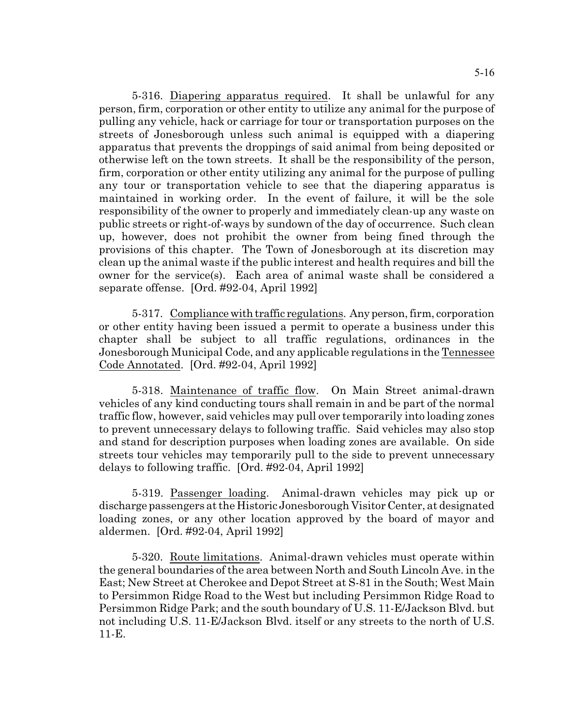5-316. Diapering apparatus required. It shall be unlawful for any person, firm, corporation or other entity to utilize any animal for the purpose of pulling any vehicle, hack or carriage for tour or transportation purposes on the streets of Jonesborough unless such animal is equipped with a diapering apparatus that prevents the droppings of said animal from being deposited or otherwise left on the town streets. It shall be the responsibility of the person, firm, corporation or other entity utilizing any animal for the purpose of pulling any tour or transportation vehicle to see that the diapering apparatus is maintained in working order. In the event of failure, it will be the sole responsibility of the owner to properly and immediately clean-up any waste on public streets or right-of-ways by sundown of the day of occurrence. Such clean up, however, does not prohibit the owner from being fined through the provisions of this chapter. The Town of Jonesborough at its discretion may clean up the animal waste if the public interest and health requires and bill the owner for the service(s). Each area of animal waste shall be considered a separate offense. [Ord. #92-04, April 1992]

5-317. Compliance with traffic regulations. Any person, firm, corporation or other entity having been issued a permit to operate a business under this chapter shall be subject to all traffic regulations, ordinances in the Jonesborough Municipal Code, and any applicable regulations in the Tennessee Code Annotated. [Ord. #92-04, April 1992]

5-318. Maintenance of traffic flow. On Main Street animal-drawn vehicles of any kind conducting tours shall remain in and be part of the normal traffic flow, however, said vehicles may pull over temporarily into loading zones to prevent unnecessary delays to following traffic. Said vehicles may also stop and stand for description purposes when loading zones are available. On side streets tour vehicles may temporarily pull to the side to prevent unnecessary delays to following traffic. [Ord. #92-04, April 1992]

5-319. Passenger loading. Animal-drawn vehicles may pick up or discharge passengers at the Historic Jonesborough Visitor Center, at designated loading zones, or any other location approved by the board of mayor and aldermen. [Ord. #92-04, April 1992]

5-320. Route limitations. Animal-drawn vehicles must operate within the general boundaries of the area between North and South Lincoln Ave. in the East; New Street at Cherokee and Depot Street at S-81 in the South; West Main to Persimmon Ridge Road to the West but including Persimmon Ridge Road to Persimmon Ridge Park; and the south boundary of U.S. 11-E/Jackson Blvd. but not including U.S. 11-E/Jackson Blvd. itself or any streets to the north of U.S. 11-E.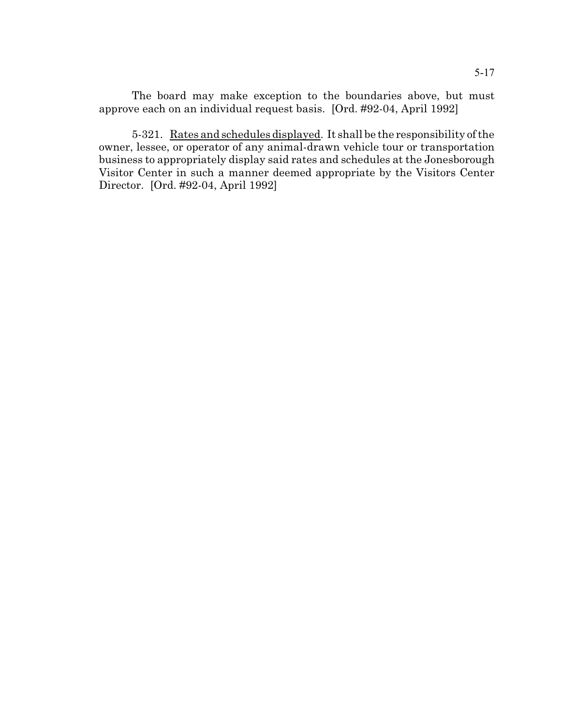The board may make exception to the boundaries above, but must approve each on an individual request basis. [Ord. #92-04, April 1992]

5-321. Rates and schedules displayed. It shall be the responsibility of the owner, lessee, or operator of any animal-drawn vehicle tour or transportation business to appropriately display said rates and schedules at the Jonesborough Visitor Center in such a manner deemed appropriate by the Visitors Center Director. [Ord. #92-04, April 1992]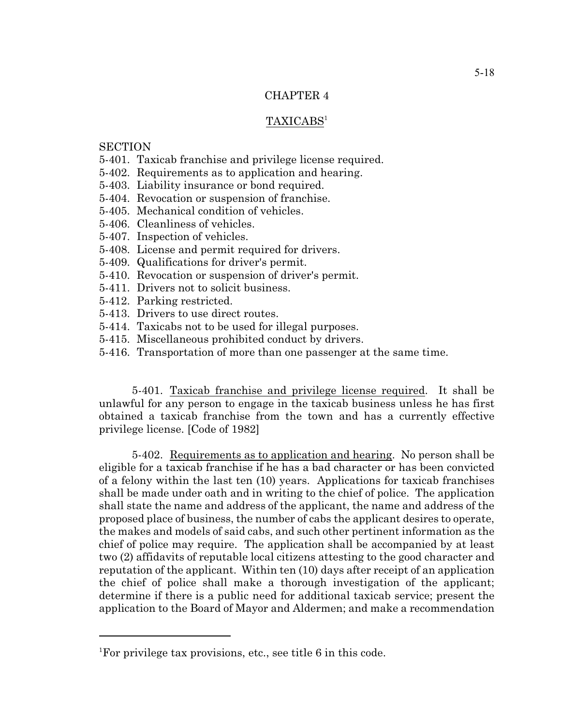# CHAPTER 4

## TAXICABS<sup>1</sup>

## **SECTION**

- 5-401. Taxicab franchise and privilege license required.
- 5-402. Requirements as to application and hearing.
- 5-403. Liability insurance or bond required.
- 5-404. Revocation or suspension of franchise.
- 5-405. Mechanical condition of vehicles.
- 5-406. Cleanliness of vehicles.
- 5-407. Inspection of vehicles.
- 5-408. License and permit required for drivers.
- 5-409. Qualifications for driver's permit.
- 5-410. Revocation or suspension of driver's permit.
- 5-411. Drivers not to solicit business.
- 5-412. Parking restricted.
- 5-413. Drivers to use direct routes.
- 5-414. Taxicabs not to be used for illegal purposes.
- 5-415. Miscellaneous prohibited conduct by drivers.
- 5-416. Transportation of more than one passenger at the same time.

5-401. Taxicab franchise and privilege license required. It shall be unlawful for any person to engage in the taxicab business unless he has first obtained a taxicab franchise from the town and has a currently effective privilege license. [Code of 1982]

5-402. Requirements as to application and hearing. No person shall be eligible for a taxicab franchise if he has a bad character or has been convicted of a felony within the last ten (10) years. Applications for taxicab franchises shall be made under oath and in writing to the chief of police. The application shall state the name and address of the applicant, the name and address of the proposed place of business, the number of cabs the applicant desires to operate, the makes and models of said cabs, and such other pertinent information as the chief of police may require. The application shall be accompanied by at least two (2) affidavits of reputable local citizens attesting to the good character and reputation of the applicant. Within ten (10) days after receipt of an application the chief of police shall make a thorough investigation of the applicant; determine if there is a public need for additional taxicab service; present the application to the Board of Mayor and Aldermen; and make a recommendation

<sup>&</sup>lt;sup>1</sup>For privilege tax provisions, etc., see title 6 in this code.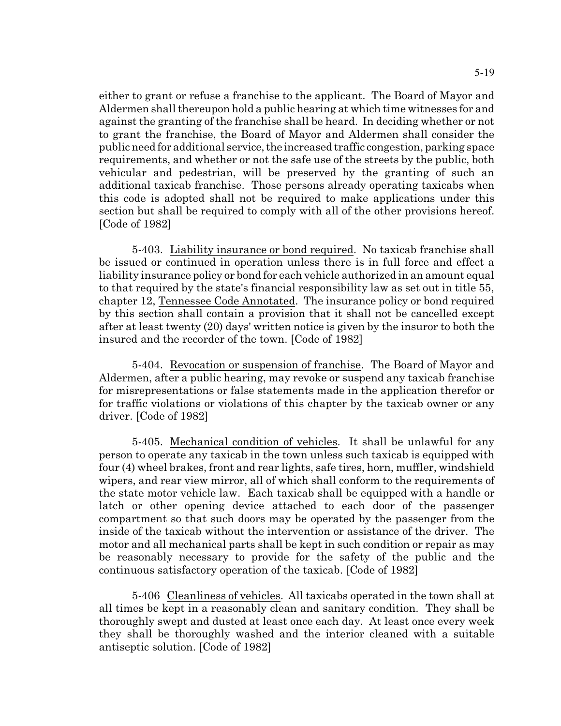either to grant or refuse a franchise to the applicant. The Board of Mayor and Aldermen shall thereupon hold a public hearing at which time witnesses for and against the granting of the franchise shall be heard. In deciding whether or not to grant the franchise, the Board of Mayor and Aldermen shall consider the public need for additional service, the increased traffic congestion, parking space requirements, and whether or not the safe use of the streets by the public, both vehicular and pedestrian, will be preserved by the granting of such an additional taxicab franchise. Those persons already operating taxicabs when this code is adopted shall not be required to make applications under this section but shall be required to comply with all of the other provisions hereof. [Code of 1982]

5-403. Liability insurance or bond required. No taxicab franchise shall be issued or continued in operation unless there is in full force and effect a liability insurance policy or bond for each vehicle authorized in an amount equal to that required by the state's financial responsibility law as set out in title 55, chapter 12, Tennessee Code Annotated. The insurance policy or bond required by this section shall contain a provision that it shall not be cancelled except after at least twenty (20) days' written notice is given by the insuror to both the insured and the recorder of the town. [Code of 1982]

5-404. Revocation or suspension of franchise. The Board of Mayor and Aldermen, after a public hearing, may revoke or suspend any taxicab franchise for misrepresentations or false statements made in the application therefor or for traffic violations or violations of this chapter by the taxicab owner or any driver. [Code of 1982]

5-405. Mechanical condition of vehicles. It shall be unlawful for any person to operate any taxicab in the town unless such taxicab is equipped with four (4) wheel brakes, front and rear lights, safe tires, horn, muffler, windshield wipers, and rear view mirror, all of which shall conform to the requirements of the state motor vehicle law. Each taxicab shall be equipped with a handle or latch or other opening device attached to each door of the passenger compartment so that such doors may be operated by the passenger from the inside of the taxicab without the intervention or assistance of the driver. The motor and all mechanical parts shall be kept in such condition or repair as may be reasonably necessary to provide for the safety of the public and the continuous satisfactory operation of the taxicab. [Code of 1982]

5-406 Cleanliness of vehicles. All taxicabs operated in the town shall at all times be kept in a reasonably clean and sanitary condition. They shall be thoroughly swept and dusted at least once each day. At least once every week they shall be thoroughly washed and the interior cleaned with a suitable antiseptic solution. [Code of 1982]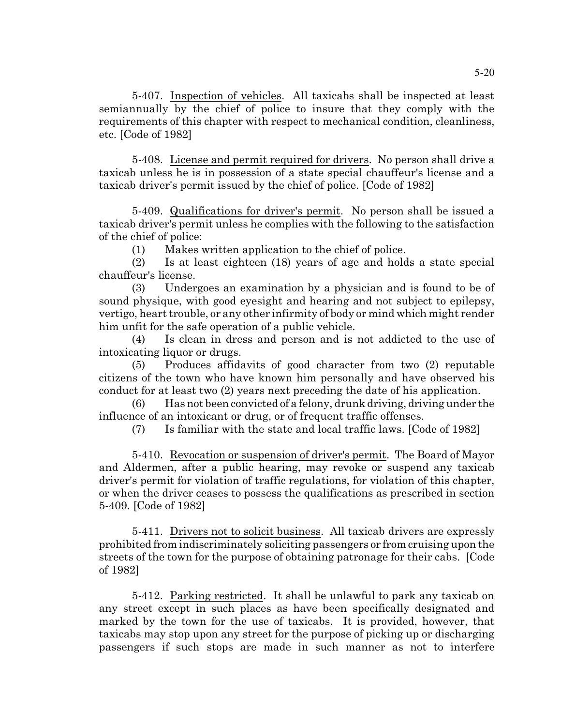5-407. Inspection of vehicles. All taxicabs shall be inspected at least semiannually by the chief of police to insure that they comply with the requirements of this chapter with respect to mechanical condition, cleanliness, etc. [Code of 1982]

5-408. License and permit required for drivers. No person shall drive a taxicab unless he is in possession of a state special chauffeur's license and a taxicab driver's permit issued by the chief of police. [Code of 1982]

5-409. Qualifications for driver's permit. No person shall be issued a taxicab driver's permit unless he complies with the following to the satisfaction of the chief of police:

(1) Makes written application to the chief of police.

(2) Is at least eighteen (18) years of age and holds a state special chauffeur's license.

(3) Undergoes an examination by a physician and is found to be of sound physique, with good eyesight and hearing and not subject to epilepsy, vertigo, heart trouble, or any other infirmity of body or mind which might render him unfit for the safe operation of a public vehicle.

(4) Is clean in dress and person and is not addicted to the use of intoxicating liquor or drugs.

(5) Produces affidavits of good character from two (2) reputable citizens of the town who have known him personally and have observed his conduct for at least two (2) years next preceding the date of his application.

(6) Has not been convicted of a felony, drunk driving, driving under the influence of an intoxicant or drug, or of frequent traffic offenses.

(7) Is familiar with the state and local traffic laws. [Code of 1982]

5-410. Revocation or suspension of driver's permit. The Board of Mayor and Aldermen, after a public hearing, may revoke or suspend any taxicab driver's permit for violation of traffic regulations, for violation of this chapter, or when the driver ceases to possess the qualifications as prescribed in section 5-409. [Code of 1982]

5-411. Drivers not to solicit business. All taxicab drivers are expressly prohibited from indiscriminately soliciting passengers or from cruising upon the streets of the town for the purpose of obtaining patronage for their cabs. [Code of 1982]

5-412. Parking restricted. It shall be unlawful to park any taxicab on any street except in such places as have been specifically designated and marked by the town for the use of taxicabs. It is provided, however, that taxicabs may stop upon any street for the purpose of picking up or discharging passengers if such stops are made in such manner as not to interfere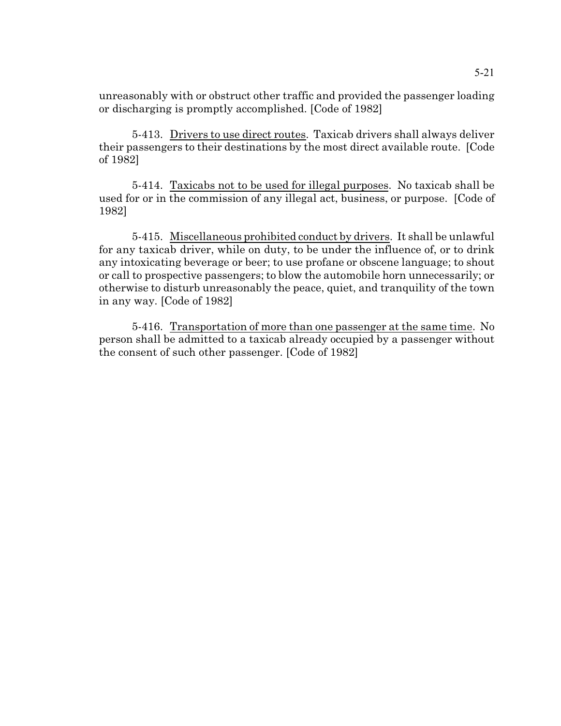unreasonably with or obstruct other traffic and provided the passenger loading or discharging is promptly accomplished. [Code of 1982]

5-413. Drivers to use direct routes. Taxicab drivers shall always deliver their passengers to their destinations by the most direct available route. [Code of 1982]

5-414. Taxicabs not to be used for illegal purposes. No taxicab shall be used for or in the commission of any illegal act, business, or purpose. [Code of 1982]

5-415. Miscellaneous prohibited conduct by drivers. It shall be unlawful for any taxicab driver, while on duty, to be under the influence of, or to drink any intoxicating beverage or beer; to use profane or obscene language; to shout or call to prospective passengers; to blow the automobile horn unnecessarily; or otherwise to disturb unreasonably the peace, quiet, and tranquility of the town in any way. [Code of 1982]

5-416. Transportation of more than one passenger at the same time. No person shall be admitted to a taxicab already occupied by a passenger without the consent of such other passenger. [Code of 1982]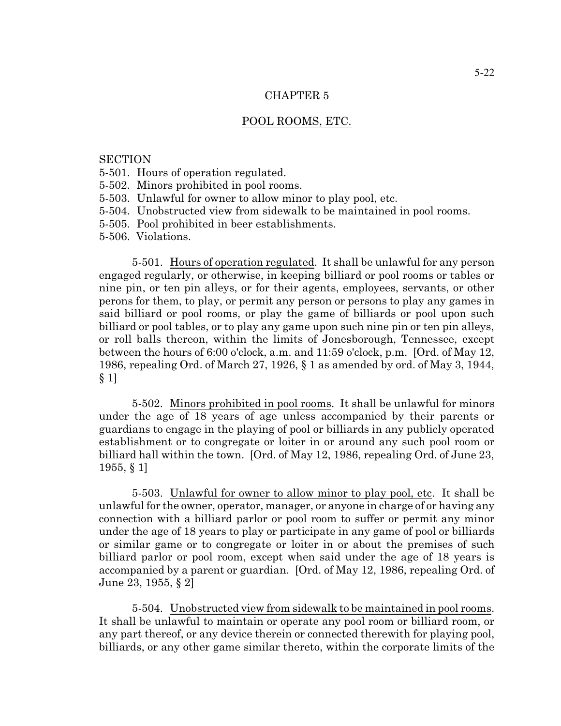## CHAPTER 5

#### POOL ROOMS, ETC.

#### **SECTION**

- 5-501. Hours of operation regulated.
- 5-502. Minors prohibited in pool rooms.
- 5-503. Unlawful for owner to allow minor to play pool, etc.
- 5-504. Unobstructed view from sidewalk to be maintained in pool rooms.
- 5-505. Pool prohibited in beer establishments.
- 5-506. Violations.

5-501. Hours of operation regulated. It shall be unlawful for any person engaged regularly, or otherwise, in keeping billiard or pool rooms or tables or nine pin, or ten pin alleys, or for their agents, employees, servants, or other perons for them, to play, or permit any person or persons to play any games in said billiard or pool rooms, or play the game of billiards or pool upon such billiard or pool tables, or to play any game upon such nine pin or ten pin alleys, or roll balls thereon, within the limits of Jonesborough, Tennessee, except between the hours of 6:00 o'clock, a.m. and 11:59 o'clock, p.m. [Ord. of May 12, 1986, repealing Ord. of March 27, 1926, § 1 as amended by ord. of May 3, 1944, § 1]

5-502. Minors prohibited in pool rooms. It shall be unlawful for minors under the age of 18 years of age unless accompanied by their parents or guardians to engage in the playing of pool or billiards in any publicly operated establishment or to congregate or loiter in or around any such pool room or billiard hall within the town. [Ord. of May 12, 1986, repealing Ord. of June 23, 1955, § 1]

5-503. Unlawful for owner to allow minor to play pool, etc. It shall be unlawful for the owner, operator, manager, or anyone in charge of or having any connection with a billiard parlor or pool room to suffer or permit any minor under the age of 18 years to play or participate in any game of pool or billiards or similar game or to congregate or loiter in or about the premises of such billiard parlor or pool room, except when said under the age of 18 years is accompanied by a parent or guardian. [Ord. of May 12, 1986, repealing Ord. of June 23, 1955, § 2]

5-504. Unobstructed view from sidewalk to be maintained in pool rooms. It shall be unlawful to maintain or operate any pool room or billiard room, or any part thereof, or any device therein or connected therewith for playing pool, billiards, or any other game similar thereto, within the corporate limits of the